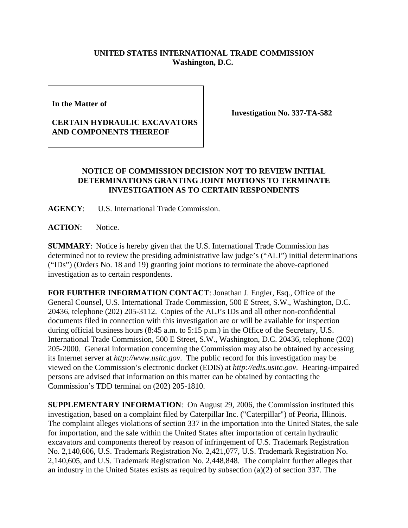## **UNITED STATES INTERNATIONAL TRADE COMMISSION Washington, D.C.**

**In the Matter of** 

## **CERTAIN HYDRAULIC EXCAVATORS AND COMPONENTS THEREOF**

**Investigation No. 337-TA-582**

## **NOTICE OF COMMISSION DECISION NOT TO REVIEW INITIAL DETERMINATIONS GRANTING JOINT MOTIONS TO TERMINATE INVESTIGATION AS TO CERTAIN RESPONDENTS**

**AGENCY**: U.S. International Trade Commission.

**ACTION**: Notice.

**SUMMARY**: Notice is hereby given that the U.S. International Trade Commission has determined not to review the presiding administrative law judge's ("ALJ") initial determinations ("IDs") (Orders No. 18 and 19) granting joint motions to terminate the above-captioned investigation as to certain respondents.

**FOR FURTHER INFORMATION CONTACT**: Jonathan J. Engler, Esq., Office of the General Counsel, U.S. International Trade Commission, 500 E Street, S.W., Washington, D.C. 20436, telephone (202) 205-3112. Copies of the ALJ's IDs and all other non-confidential documents filed in connection with this investigation are or will be available for inspection during official business hours (8:45 a.m. to 5:15 p.m.) in the Office of the Secretary, U.S. International Trade Commission, 500 E Street, S.W., Washington, D.C. 20436, telephone (202) 205-2000. General information concerning the Commission may also be obtained by accessing its Internet server at *http://www.usitc.gov*. The public record for this investigation may be viewed on the Commission's electronic docket (EDIS) at *http://edis.usitc.gov*. Hearing-impaired persons are advised that information on this matter can be obtained by contacting the Commission's TDD terminal on (202) 205-1810.

**SUPPLEMENTARY INFORMATION**: On August 29, 2006, the Commission instituted this investigation, based on a complaint filed by Caterpillar Inc. ("Caterpillar") of Peoria, Illinois. The complaint alleges violations of section 337 in the importation into the United States, the sale for importation, and the sale within the United States after importation of certain hydraulic excavators and components thereof by reason of infringement of U.S. Trademark Registration No. 2,140,606, U.S. Trademark Registration No. 2,421,077, U.S. Trademark Registration No. 2,140,605, and U.S. Trademark Registration No. 2,448,848. The complaint further alleges that an industry in the United States exists as required by subsection (a)(2) of section 337. The